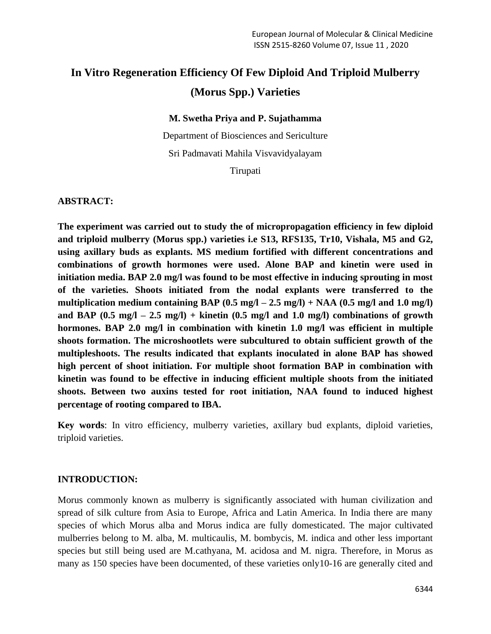# **In Vitro Regeneration Efficiency Of Few Diploid And Triploid Mulberry (Morus Spp.) Varieties**

#### **M. Swetha Priya and P. Sujathamma**

Department of Biosciences and Sericulture Sri Padmavati Mahila Visvavidyalayam Tirupati

#### **ABSTRACT:**

**The experiment was carried out to study the of micropropagation efficiency in few diploid and triploid mulberry (Morus spp.) varieties i.e S13, RFS135, Tr10, Vishala, M5 and G2, using axillary buds as explants. MS medium fortified with different concentrations and combinations of growth hormones were used. Alone BAP and kinetin were used in initiation media. BAP 2.0 mg/l was found to be most effective in inducing sprouting in most of the varieties. Shoots initiated from the nodal explants were transferred to the**  multiplication medium containing BAP  $(0.5 \text{ mg}/1 - 2.5 \text{ mg}/1) + \text{NAA}$   $(0.5 \text{ mg}/1 \text{ and } 1.0 \text{ mg}/1)$ **and BAP (0.5 mg/l – 2.5 mg/l) + kinetin (0.5 mg/l and 1.0 mg/l) combinations of growth hormones. BAP 2.0 mg/l in combination with kinetin 1.0 mg/l was efficient in multiple shoots formation. The microshootlets were subcultured to obtain sufficient growth of the multipleshoots. The results indicated that explants inoculated in alone BAP has showed high percent of shoot initiation. For multiple shoot formation BAP in combination with kinetin was found to be effective in inducing efficient multiple shoots from the initiated shoots. Between two auxins tested for root initiation, NAA found to induced highest percentage of rooting compared to IBA.**

**Key words**: In vitro efficiency, mulberry varieties, axillary bud explants, diploid varieties, triploid varieties.

#### **INTRODUCTION:**

Morus commonly known as mulberry is significantly associated with human civilization and spread of silk culture from Asia to Europe, Africa and Latin America. In India there are many species of which Morus alba and Morus indica are fully domesticated. The major cultivated mulberries belong to M. alba, M. multicaulis, M. bombycis, M. indica and other less important species but still being used are M.cathyana, M. acidosa and M. nigra. Therefore, in Morus as many as 150 species have been documented, of these varieties only10-16 are generally cited and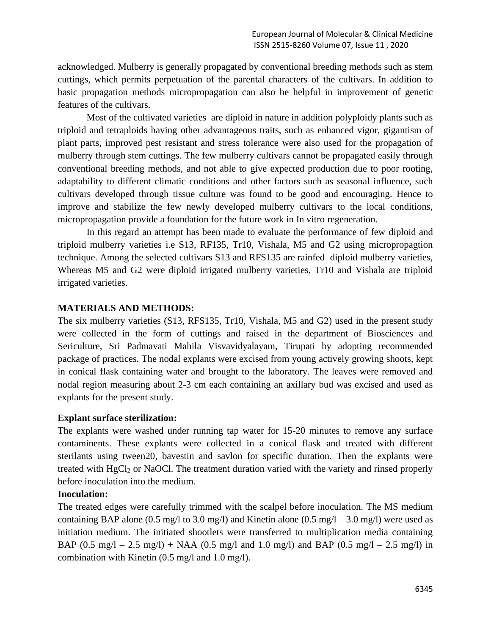acknowledged. Mulberry is generally propagated by conventional breeding methods such as stem cuttings, which permits perpetuation of the parental characters of the cultivars. In addition to basic propagation methods micropropagation can also be helpful in improvement of genetic features of the cultivars.

Most of the cultivated varieties are diploid in nature in addition polyploidy plants such as triploid and tetraploids having other advantageous traits, such as enhanced vigor, gigantism of plant parts, improved pest resistant and stress tolerance were also used for the propagation of mulberry through stem cuttings. The few mulberry cultivars cannot be propagated easily through conventional breeding methods, and not able to give expected production due to poor rooting, adaptability to different climatic conditions and other factors such as seasonal influence, such cultivars developed through tissue culture was found to be good and encouraging. Hence to improve and stabilize the few newly developed mulberry cultivars to the local conditions, micropropagation provide a foundation for the future work in In vitro regeneration.

In this regard an attempt has been made to evaluate the performance of few diploid and triploid mulberry varieties i.e S13, RF135, Tr10, Vishala, M5 and G2 using micropropagtion technique. Among the selected cultivars S13 and RFS135 are rainfed diploid mulberry varieties, Whereas M5 and G2 were diploid irrigated mulberry varieties, Tr10 and Vishala are triploid irrigated varieties.

### **MATERIALS AND METHODS:**

The six mulberry varieties (S13, RFS135, Tr10, Vishala, M5 and G2) used in the present study were collected in the form of cuttings and raised in the department of Biosciences and Sericulture, Sri Padmavati Mahila Visvavidyalayam, Tirupati by adopting recommended package of practices. The nodal explants were excised from young actively growing shoots, kept in conical flask containing water and brought to the laboratory. The leaves were removed and nodal region measuring about 2-3 cm each containing an axillary bud was excised and used as explants for the present study.

#### **Explant surface sterilization:**

The explants were washed under running tap water for 15-20 minutes to remove any surface contaminents. These explants were collected in a conical flask and treated with different sterilants using tween20, bavestin and savlon for specific duration. Then the explants were treated with HgCl<sub>2</sub> or NaOCl. The treatment duration varied with the variety and rinsed properly before inoculation into the medium.

## **Inoculation:**

The treated edges were carefully trimmed with the scalpel before inoculation. The MS medium containing BAP alone (0.5 mg/l to 3.0 mg/l) and Kinetin alone (0.5 mg/l – 3.0 mg/l) were used as initiation medium. The initiated shootlets were transferred to multiplication media containing BAP  $(0.5 \text{ mg}/1 - 2.5 \text{ mg}/1) + \text{NAA}$   $(0.5 \text{ mg}/1 \text{ and } 1.0 \text{ mg}/1)$  and BAP  $(0.5 \text{ mg}/1 - 2.5 \text{ mg}/1)$  in combination with Kinetin (0.5 mg/l and 1.0 mg/l).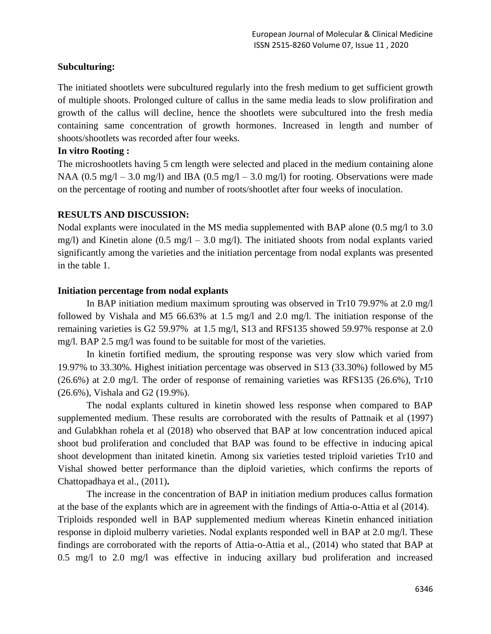### **Subculturing:**

The initiated shootlets were subcultured regularly into the fresh medium to get sufficient growth of multiple shoots. Prolonged culture of callus in the same media leads to slow prolifiration and growth of the callus will decline, hence the shootlets were subcultured into the fresh media containing same concentration of growth hormones. Increased in length and number of shoots/shootlets was recorded after four weeks.

#### **In vitro Rooting :**

The microshootlets having 5 cm length were selected and placed in the medium containing alone NAA (0.5 mg/l – 3.0 mg/l) and IBA (0.5 mg/l – 3.0 mg/l) for rooting. Observations were made on the percentage of rooting and number of roots/shootlet after four weeks of inoculation.

### **RESULTS AND DISCUSSION:**

Nodal explants were inoculated in the MS media supplemented with BAP alone (0.5 mg/l to 3.0 mg/l) and Kinetin alone  $(0.5 \text{ mg}/1 - 3.0 \text{ mg}/1)$ . The initiated shoots from nodal explants varied significantly among the varieties and the initiation percentage from nodal explants was presented in the table 1.

### **Initiation percentage from nodal explants**

In BAP initiation medium maximum sprouting was observed in Tr10 79.97% at 2.0 mg/l followed by Vishala and M5 66.63% at 1.5 mg/l and 2.0 mg/l. The initiation response of the remaining varieties is G2 59.97% at 1.5 mg/l, S13 and RFS135 showed 59.97% response at 2.0 mg/l. BAP 2.5 mg/l was found to be suitable for most of the varieties.

In kinetin fortified medium, the sprouting response was very slow which varied from 19.97% to 33.30%. Highest initiation percentage was observed in S13 (33.30%) followed by M5 (26.6%) at 2.0 mg/l. The order of response of remaining varieties was RFS135 (26.6%), Tr10 (26.6%), Vishala and G2 (19.9%).

The nodal explants cultured in kinetin showed less response when compared to BAP supplemented medium. These results are corroborated with the results of Pattnaik et al (1997) and Gulabkhan rohela et al (2018) who observed that BAP at low concentration induced apical shoot bud proliferation and concluded that BAP was found to be effective in inducing apical shoot development than initated kinetin. Among six varieties tested triploid varieties Tr10 and Vishal showed better performance than the diploid varieties, which confirms the reports of Chattopadhaya et al., (2011)**.** 

The increase in the concentration of BAP in initiation medium produces callus formation at the base of the explants which are in agreement with the findings of Attia-o-Attia et al (2014). Triploids responded well in BAP supplemented medium whereas Kinetin enhanced initiation response in diploid mulberry varieties. Nodal explants responded well in BAP at 2.0 mg/l. These findings are corroborated with the reports of Attia-o-Attia et al., (2014) who stated that BAP at 0.5 mg/l to 2.0 mg/l was effective in inducing axillary bud proliferation and increased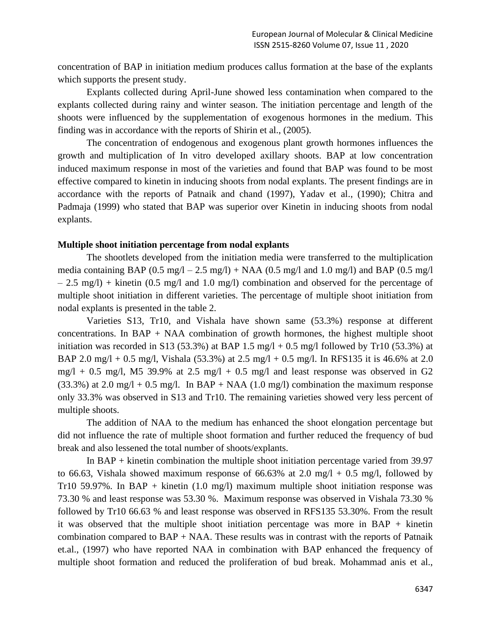concentration of BAP in initiation medium produces callus formation at the base of the explants which supports the present study.

Explants collected during April-June showed less contamination when compared to the explants collected during rainy and winter season. The initiation percentage and length of the shoots were influenced by the supplementation of exogenous hormones in the medium. This finding was in accordance with the reports of Shirin et al., (2005).

The concentration of endogenous and exogenous plant growth hormones influences the growth and multiplication of In vitro developed axillary shoots. BAP at low concentration induced maximum response in most of the varieties and found that BAP was found to be most effective compared to kinetin in inducing shoots from nodal explants. The present findings are in accordance with the reports of Patnaik and chand (1997), Yadav et al., (1990); Chitra and Padmaja (1999) who stated that BAP was superior over Kinetin in inducing shoots from nodal explants.

#### **Multiple shoot initiation percentage from nodal explants**

The shootlets developed from the initiation media were transferred to the multiplication media containing BAP (0.5 mg/l – 2.5 mg/l) + NAA (0.5 mg/l and 1.0 mg/l) and BAP (0.5 mg/l)  $- 2.5$  mg/l) + kinetin (0.5 mg/l and 1.0 mg/l) combination and observed for the percentage of multiple shoot initiation in different varieties. The percentage of multiple shoot initiation from nodal explants is presented in the table 2.

Varieties S13, Tr10, and Vishala have shown same (53.3%) response at different concentrations. In BAP + NAA combination of growth hormones, the highest multiple shoot initiation was recorded in S13 (53.3%) at BAP 1.5 mg/l + 0.5 mg/l followed by Tr10 (53.3%) at BAP 2.0 mg/l + 0.5 mg/l, Vishala (53.3%) at 2.5 mg/l + 0.5 mg/l. In RFS135 it is 46.6% at 2.0 mg/l + 0.5 mg/l, M5 39.9% at 2.5 mg/l + 0.5 mg/l and least response was observed in G2 (33.3%) at 2.0 mg/l + 0.5 mg/l. In BAP + NAA (1.0 mg/l) combination the maximum response only 33.3% was observed in S13 and Tr10. The remaining varieties showed very less percent of multiple shoots.

The addition of NAA to the medium has enhanced the shoot elongation percentage but did not influence the rate of multiple shoot formation and further reduced the frequency of bud break and also lessened the total number of shoots/explants.

In BAP + kinetin combination the multiple shoot initiation percentage varied from 39.97 to 66.63, Vishala showed maximum response of 66.63% at 2.0 mg/l + 0.5 mg/l, followed by Tr10 59.97%. In BAP + kinetin  $(1.0 \text{ mg/l})$  maximum multiple shoot initiation response was 73.30 % and least response was 53.30 %. Maximum response was observed in Vishala 73.30 % followed by Tr10 66.63 % and least response was observed in RFS135 53.30%. From the result it was observed that the multiple shoot initiation percentage was more in  $BAP +$  kinetin combination compared to BAP + NAA. These results was in contrast with the reports of Patnaik et.al., (1997) who have reported NAA in combination with BAP enhanced the frequency of multiple shoot formation and reduced the proliferation of bud break. Mohammad anis et al.,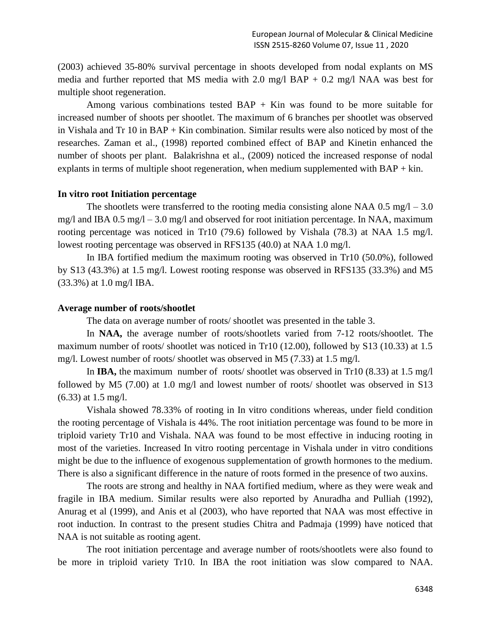(2003) achieved 35-80% survival percentage in shoots developed from nodal explants on MS media and further reported that MS media with 2.0 mg/l BAP  $+$  0.2 mg/l NAA was best for multiple shoot regeneration.

Among various combinations tested  $BAP + Kin$  was found to be more suitable for increased number of shoots per shootlet. The maximum of 6 branches per shootlet was observed in Vishala and Tr 10 in BAP + Kin combination. Similar results were also noticed by most of the researches. Zaman et al., (1998) reported combined effect of BAP and Kinetin enhanced the number of shoots per plant. Balakrishna et al., (2009) noticed the increased response of nodal explants in terms of multiple shoot regeneration, when medium supplemented with  $BAP + kin$ .

#### **In vitro root Initiation percentage**

The shootlets were transferred to the rooting media consisting alone NAA  $0.5 \text{ mg}/\text{l} - 3.0$ mg/l and IBA 0.5 mg/l – 3.0 mg/l and observed for root initiation percentage. In NAA, maximum rooting percentage was noticed in Tr10 (79.6) followed by Vishala (78.3) at NAA 1.5 mg/l. lowest rooting percentage was observed in RFS135 (40.0) at NAA 1.0 mg/l.

In IBA fortified medium the maximum rooting was observed in Tr10 (50.0%), followed by S13 (43.3%) at 1.5 mg/l. Lowest rooting response was observed in RFS135 (33.3%) and M5 (33.3%) at 1.0 mg/l IBA.

#### **Average number of roots/shootlet**

The data on average number of roots/ shootlet was presented in the table 3.

In **NAA,** the average number of roots/shootlets varied from 7-12 roots/shootlet. The maximum number of roots/ shootlet was noticed in Tr10 (12.00), followed by S13 (10.33) at 1.5 mg/l. Lowest number of roots/ shootlet was observed in M5 (7.33) at 1.5 mg/l.

In **IBA,** the maximum number of roots/ shootlet was observed in Tr10 (8.33) at 1.5 mg/l followed by M5 (7.00) at 1.0 mg/l and lowest number of roots/ shootlet was observed in S13 (6.33) at 1.5 mg/l.

Vishala showed 78.33% of rooting in In vitro conditions whereas, under field condition the rooting percentage of Vishala is 44%. The root initiation percentage was found to be more in triploid variety Tr10 and Vishala. NAA was found to be most effective in inducing rooting in most of the varieties. Increased In vitro rooting percentage in Vishala under in vitro conditions might be due to the influence of exogenous supplementation of growth hormones to the medium. There is also a significant difference in the nature of roots formed in the presence of two auxins.

The roots are strong and healthy in NAA fortified medium, where as they were weak and fragile in IBA medium. Similar results were also reported by Anuradha and Pulliah (1992), Anurag et al (1999), and Anis et al (2003), who have reported that NAA was most effective in root induction. In contrast to the present studies Chitra and Padmaja (1999) have noticed that NAA is not suitable as rooting agent.

The root initiation percentage and average number of roots/shootlets were also found to be more in triploid variety Tr10. In IBA the root initiation was slow compared to NAA.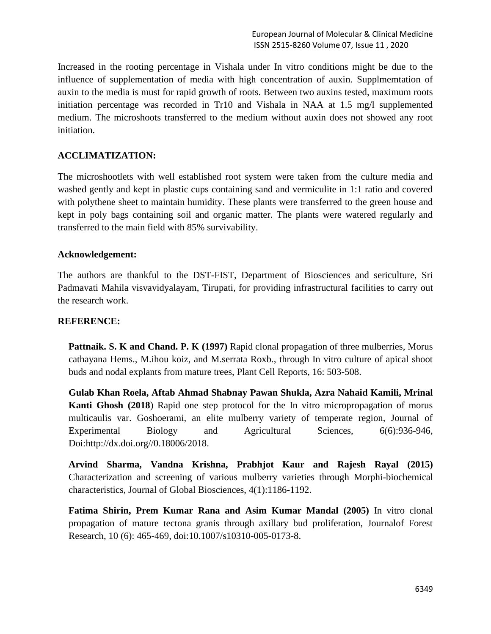Increased in the rooting percentage in Vishala under In vitro conditions might be due to the influence of supplementation of media with high concentration of auxin. Supplmemtation of auxin to the media is must for rapid growth of roots. Between two auxins tested, maximum roots initiation percentage was recorded in Tr10 and Vishala in NAA at 1.5 mg/l supplemented medium. The microshoots transferred to the medium without auxin does not showed any root initiation.

## **ACCLIMATIZATION:**

The microshootlets with well established root system were taken from the culture media and washed gently and kept in plastic cups containing sand and vermiculite in 1:1 ratio and covered with polythene sheet to maintain humidity. These plants were transferred to the green house and kept in poly bags containing soil and organic matter. The plants were watered regularly and transferred to the main field with 85% survivability.

### **Acknowledgement:**

The authors are thankful to the DST-FIST, Department of Biosciences and sericulture, Sri Padmavati Mahila visvavidyalayam, Tirupati, for providing infrastructural facilities to carry out the research work.

## **REFERENCE:**

Pattnaik. S. K and Chand. P. K (1997) Rapid clonal propagation of three mulberries, Morus cathayana Hems., M.ihou koiz, and M.serrata Roxb., through In vitro culture of apical shoot buds and nodal explants from mature trees, Plant Cell Reports, 16: 503-508.

**Gulab Khan Roela, Aftab Ahmad Shabnay Pawan Shukla, Azra Nahaid Kamili, Mrinal Kanti Ghosh (2018**) Rapid one step protocol for the In vitro micropropagation of morus multicaulis var. Goshoerami, an elite mulberry variety of temperate region, Journal of Experimental Biology and Agricultural Sciences, 6(6):936-946, Doi:http://dx.doi.org//0.18006/2018.

**Arvind Sharma, Vandna Krishna, Prabhjot Kaur and Rajesh Rayal (2015)** Characterization and screening of various mulberry varieties through Morphi-biochemical characteristics, Journal of Global Biosciences, 4(1):1186-1192.

**Fatima Shirin, Prem Kumar Rana and Asim Kumar Mandal (2005)** In vitro clonal propagation of mature tectona granis through axillary bud proliferation, Journalof Forest Research, 10 (6): 465-469, doi:10.1007/s10310-005-0173-8.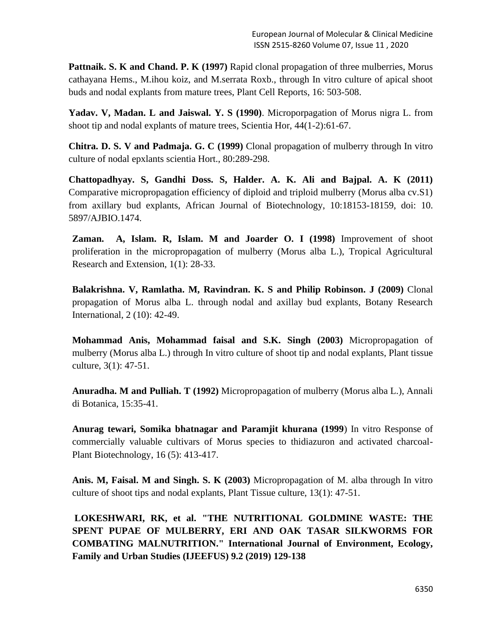**Pattnaik. S. K and Chand. P. K (1997)** Rapid clonal propagation of three mulberries, Morus cathayana Hems., M.ihou koiz, and M.serrata Roxb., through In vitro culture of apical shoot buds and nodal explants from mature trees, Plant Cell Reports, 16: 503-508.

**Yadav. V, Madan. L and Jaiswal. Y. S (1990)**. Microporpagation of Morus nigra L. from shoot tip and nodal explants of mature trees, Scientia Hor, 44(1-2):61-67.

**Chitra. D. S. V and Padmaja. G. C (1999)** Clonal propagation of mulberry through In vitro culture of nodal epxlants scientia Hort., 80:289-298.

**Chattopadhyay. S, Gandhi Doss. S, Halder. A. K. Ali and Bajpal. A. K (2011)** Comparative micropropagation efficiency of diploid and triploid mulberry (Morus alba cv.S1) from axillary bud explants, African Journal of Biotechnology, 10:18153-18159, doi: 10. 5897/AJBIO.1474.

**Zaman. A, Islam. R, Islam. M and Joarder O. I (1998)** Improvement of shoot proliferation in the micropropagation of mulberry (Morus alba L.), Tropical Agricultural Research and Extension, 1(1): 28-33.

**Balakrishna. V, Ramlatha. M, Ravindran. K. S and Philip Robinson. J (2009)** Clonal propagation of Morus alba L. through nodal and axillay bud explants, Botany Research International, 2 (10): 42-49.

**Mohammad Anis, Mohammad faisal and S.K. Singh (2003)** Micropropagation of mulberry (Morus alba L.) through In vitro culture of shoot tip and nodal explants, Plant tissue culture, 3(1): 47-51.

**Anuradha. M and Pulliah. T (1992)** Micropropagation of mulberry (Morus alba L.), Annali di Botanica, 15:35-41.

**Anurag tewari, Somika bhatnagar and Paramjit khurana (1999**) In vitro Response of commercially valuable cultivars of Morus species to thidiazuron and activated charcoal-Plant Biotechnology, 16 (5): 413-417.

**Anis. M, Faisal. M and Singh. S. K (2003)** Micropropagation of M. alba through In vitro culture of shoot tips and nodal explants, Plant Tissue culture, 13(1): 47-51.

**LOKESHWARI, RK, et al. "THE NUTRITIONAL GOLDMINE WASTE: THE SPENT PUPAE OF MULBERRY, ERI AND OAK TASAR SILKWORMS FOR COMBATING MALNUTRITION." International Journal of Environment, Ecology, Family and Urban Studies (IJEEFUS) 9.2 (2019) 129-138**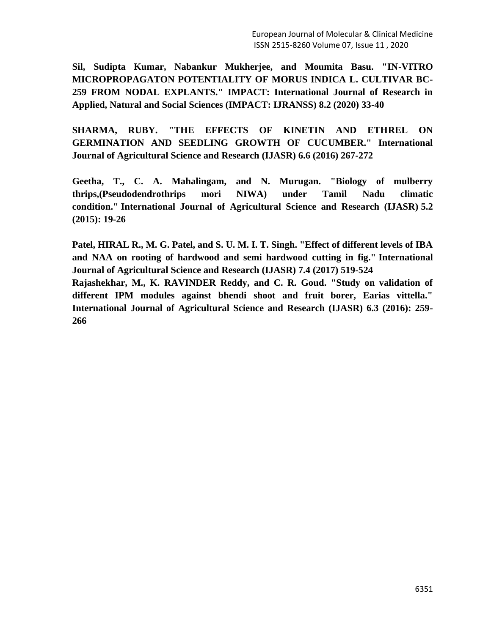**Sil, Sudipta Kumar, Nabankur Mukherjee, and Moumita Basu. "IN-VITRO MICROPROPAGATON POTENTIALITY OF MORUS INDICA L. CULTIVAR BC-259 FROM NODAL EXPLANTS." IMPACT: International Journal of Research in Applied, Natural and Social Sciences (IMPACT: IJRANSS) 8.2 (2020) 33-40**

**SHARMA, RUBY. "THE EFFECTS OF KINETIN AND ETHREL ON GERMINATION AND SEEDLING GROWTH OF CUCUMBER." International Journal of Agricultural Science and Research (IJASR) 6.6 (2016) 267-272**

**Geetha, T., C. A. Mahalingam, and N. Murugan. "Biology of mulberry thrips,(Pseudodendrothrips mori NIWA) under Tamil Nadu climatic condition." International Journal of Agricultural Science and Research (IJASR) 5.2 (2015): 19-26**

**Patel, HIRAL R., M. G. Patel, and S. U. M. I. T. Singh. "Effect of different levels of IBA and NAA on rooting of hardwood and semi hardwood cutting in fig." International Journal of Agricultural Science and Research (IJASR) 7.4 (2017) 519-524**

**Rajashekhar, M., K. RAVINDER Reddy, and C. R. Goud. "Study on validation of different IPM modules against bhendi shoot and fruit borer, Earias vittella." International Journal of Agricultural Science and Research (IJASR) 6.3 (2016): 259- 266**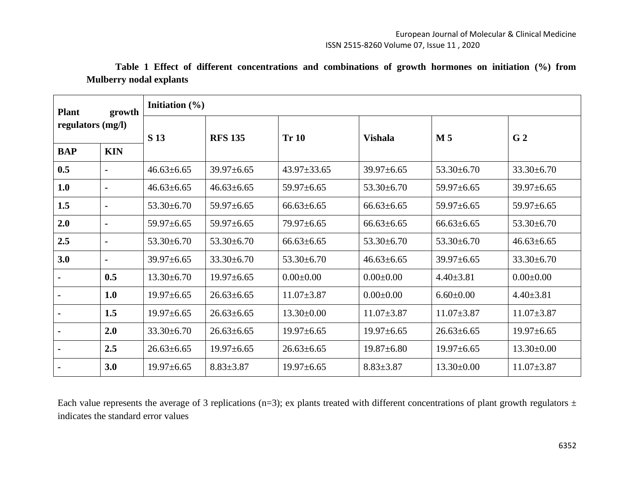| <b>Plant</b>      | growth         | Initiation $(\% )$ |                  |                   |                  |                  |                  |  |  |
|-------------------|----------------|--------------------|------------------|-------------------|------------------|------------------|------------------|--|--|
| regulators (mg/l) |                | S 13               | <b>RFS 135</b>   | <b>Tr 10</b>      | <b>Vishala</b>   | $\mathbf{M}$ 5   | G <sub>2</sub>   |  |  |
| <b>BAP</b>        | <b>KIN</b>     |                    |                  |                   |                  |                  |                  |  |  |
| 0.5               | $\blacksquare$ | $46.63 \pm 6.65$   | $39.97 \pm 6.65$ | $43.97 \pm 33.65$ | $39.97 \pm 6.65$ | $53.30 \pm 6.70$ | $33.30 \pm 6.70$ |  |  |
| 1.0               | $\blacksquare$ | $46.63 \pm 6.65$   | $46.63 \pm 6.65$ | $59.97 \pm 6.65$  | $53.30 \pm 6.70$ | $59.97 \pm 6.65$ | $39.97 \pm 6.65$ |  |  |
| 1.5               | $\blacksquare$ | $53.30 \pm 6.70$   | $59.97 \pm 6.65$ | $66.63 \pm 6.65$  | $66.63 \pm 6.65$ | $59.97 \pm 6.65$ | $59.97 \pm 6.65$ |  |  |
| 2.0               | $\blacksquare$ | $59.97 \pm 6.65$   | 59.97±6.65       | $79.97 \pm 6.65$  | $66.63 \pm 6.65$ | $66.63 \pm 6.65$ | $53.30 \pm 6.70$ |  |  |
| 2.5               | $\blacksquare$ | $53.30 \pm 6.70$   | $53.30\pm 6.70$  | $66.63 \pm 6.65$  | $53.30 \pm 6.70$ | $53.30 \pm 6.70$ | $46.63 \pm 6.65$ |  |  |
| 3.0               | $\blacksquare$ | $39.97 \pm 6.65$   | $33.30 \pm 6.70$ | $53.30 \pm 6.70$  | $46.63 \pm 6.65$ | $39.97 \pm 6.65$ | $33.30 \pm 6.70$ |  |  |
|                   | 0.5            | $13.30 \pm 6.70$   | $19.97 \pm 6.65$ | $0.00 \pm 0.00$   | $0.00 \pm 0.00$  | $4.40 \pm 3.81$  | $0.00 \pm 0.00$  |  |  |
|                   | 1.0            | $19.97 \pm 6.65$   | $26.63 \pm 6.65$ | $11.07 \pm 3.87$  | $0.00 \pm 0.00$  | $6.60 \pm 0.00$  | $4.40 \pm 3.81$  |  |  |
|                   | 1.5            | $19.97 \pm 6.65$   | $26.63 \pm 6.65$ | $13.30 \pm 0.00$  | $11.07 \pm 3.87$ | $11.07 \pm 3.87$ | $11.07 \pm 3.87$ |  |  |
|                   | 2.0            | $33.30 \pm 6.70$   | $26.63 \pm 6.65$ | $19.97 \pm 6.65$  | $19.97 \pm 6.65$ | $26.63 \pm 6.65$ | $19.97 \pm 6.65$ |  |  |
|                   | 2.5            | $26.63 \pm 6.65$   | $19.97 \pm 6.65$ | $26.63 \pm 6.65$  | $19.87 \pm 6.80$ | $19.97 \pm 6.65$ | $13.30 \pm 0.00$ |  |  |
|                   | 3.0            | $19.97 \pm 6.65$   | $8.83 \pm 3.87$  | $19.97 \pm 6.65$  | $8.83 \pm 3.87$  | $13.30 \pm 0.00$ | $11.07 \pm 3.87$ |  |  |

**Table 1 Effect of different concentrations and combinations of growth hormones on initiation (%) from Mulberry nodal explants** 

Each value represents the average of 3 replications (n=3); ex plants treated with different concentrations of plant growth regulators  $\pm$ indicates the standard error values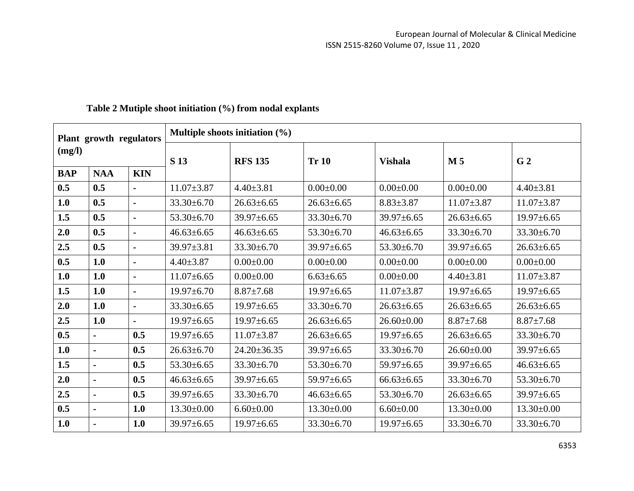| Plant growth regulators<br>(mg/l) |                | Multiple shoots initiation $(\% )$ |                  |                   |                  |                  |                  |                  |  |  |
|-----------------------------------|----------------|------------------------------------|------------------|-------------------|------------------|------------------|------------------|------------------|--|--|
|                                   |                | S 13                               | <b>RFS 135</b>   | <b>Tr 10</b>      | <b>Vishala</b>   | M <sub>5</sub>   | G <sub>2</sub>   |                  |  |  |
| <b>BAP</b>                        | <b>NAA</b>     | <b>KIN</b>                         |                  |                   |                  |                  |                  |                  |  |  |
| 0.5                               | 0.5            | $\blacksquare$                     | $11.07 \pm 3.87$ | $4.40 \pm 3.81$   | $0.00 \pm 0.00$  | $0.00 \pm 0.00$  | $0.00 \pm 0.00$  | $4.40 \pm 3.81$  |  |  |
| 1.0                               | 0.5            | $\blacksquare$                     | $33.30 \pm 6.70$ | $26.63 \pm 6.65$  | $26.63 \pm 6.65$ | $8.83 \pm 3.87$  | $11.07 \pm 3.87$ | $11.07 \pm 3.87$ |  |  |
| 1.5                               | 0.5            | $\blacksquare$                     | $53.30 \pm 6.70$ | $39.97 \pm 6.65$  | $33.30 \pm 6.70$ | $39.97 \pm 6.65$ | $26.63 \pm 6.65$ | $19.97 \pm 6.65$ |  |  |
| 2.0                               | 0.5            | $\blacksquare$                     | $46.63 \pm 6.65$ | $46.63 \pm 6.65$  | $53.30 \pm 6.70$ | $46.63 \pm 6.65$ | 33.30±6.70       | $33.30 \pm 6.70$ |  |  |
| 2.5                               | 0.5            | $\blacksquare$                     | $39.97 \pm 3.81$ | $33.30 \pm 6.70$  | $39.97 \pm 6.65$ | $53.30 \pm 6.70$ | $39.97 \pm 6.65$ | $26.63 \pm 6.65$ |  |  |
| 0.5                               | 1.0            | $\blacksquare$                     | $4.40 \pm 3.87$  | $0.00 \pm 0.00$   | $0.00 \pm 0.00$  | $0.00 \pm 0.00$  | $0.00 \pm 0.00$  | $0.00 \pm 0.00$  |  |  |
| 1.0                               | 1.0            | $\blacksquare$                     | $11.07\pm 6.65$  | $0.00 \pm 0.00$   | $6.63 \pm 6.65$  | $0.00 \pm 0.00$  | $4.40 \pm 3.81$  | $11.07 \pm 3.87$ |  |  |
| 1.5                               | 1.0            | $\blacksquare$                     | $19.97 \pm 6.70$ | $8.87 \pm 7.68$   | $19.97 \pm 6.65$ | $11.07 \pm 3.87$ | $19.97 \pm 6.65$ | $19.97 \pm 6.65$ |  |  |
| 2.0                               | 1.0            | $\blacksquare$                     | $33.30 \pm 6.65$ | $19.97 \pm 6.65$  | $33.30 \pm 6.70$ | $26.63 \pm 6.65$ | $26.63 \pm 6.65$ | $26.63 \pm 6.65$ |  |  |
| 2.5                               | 1.0            | $\blacksquare$                     | $19.97 \pm 6.65$ | $19.97 \pm 6.65$  | $26.63 \pm 6.65$ | $26.60 \pm 0.00$ | $8.87 \pm 7.68$  | $8.87 \pm 7.68$  |  |  |
| 0.5                               |                | 0.5                                | $19.97 \pm 6.65$ | $11.07 \pm 3.87$  | $26.63 \pm 6.65$ | $19.97 \pm 6.65$ | $26.63 \pm 6.65$ | $33.30 \pm 6.70$ |  |  |
| 1.0                               |                | 0.5                                | $26.63 \pm 6.70$ | $24.20 \pm 36.35$ | $39.97 \pm 6.65$ | $33.30 \pm 6.70$ | $26.60 \pm 0.00$ | $39.97 \pm 6.65$ |  |  |
| 1.5                               |                | 0.5                                | $53.30 \pm 6.65$ | $33.30 \pm 6.70$  | $53.30 \pm 6.70$ | $59.97 \pm 6.65$ | $39.97 \pm 6.65$ | $46.63 \pm 6.65$ |  |  |
| 2.0                               | $\blacksquare$ | 0.5                                | $46.63 \pm 6.65$ | 39.97±6.65        | $59.97 \pm 6.65$ | $66.63 \pm 6.65$ | $33.30 \pm 6.70$ | $53.30 \pm 6.70$ |  |  |
| 2.5                               |                | 0.5                                | $39.97 \pm 6.65$ | $33.30 \pm 6.70$  | $46.63 \pm 6.65$ | $53.30 \pm 6.70$ | $26.63 \pm 6.65$ | 39.97±6.65       |  |  |
| 0.5                               | $\blacksquare$ | 1.0                                | $13.30 \pm 0.00$ | $6.60 \pm 0.00$   | $13.30 \pm 0.00$ | $6.60 \pm 0.00$  | $13.30 \pm 0.00$ | $13.30 \pm 0.00$ |  |  |
| 1.0                               |                | 1.0                                | $39.97 \pm 6.65$ | $19.97 \pm 6.65$  | $33.30 \pm 6.70$ | $19.97 \pm 6.65$ | $33.30 \pm 6.70$ | $33.30 \pm 6.70$ |  |  |

# **Table 2 Mutiple shoot initiation (%) from nodal explants**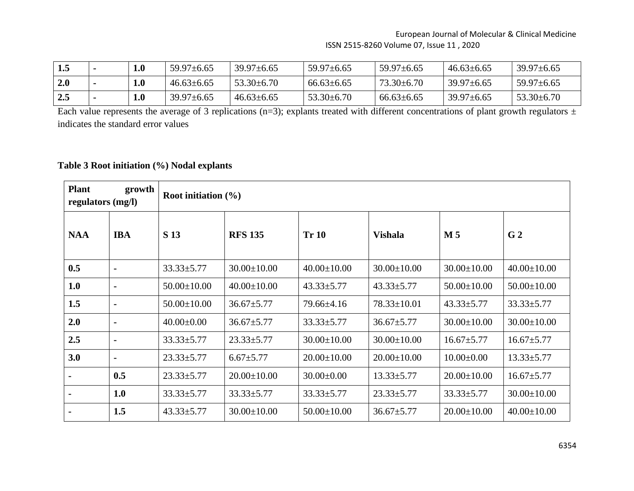| 1.5          | $\boldsymbol{0.1}$ | $59.97 \pm 6.65$ | $39.97 \pm 6.65$ | $59.97 \pm 6.65$ | $59.97 \pm 6.65$ | $46.63 \pm 6.65$ | $39.97 \pm 6.65$ |
|--------------|--------------------|------------------|------------------|------------------|------------------|------------------|------------------|
| 2.0          | 0.1                | $46.63 \pm 6.65$ | $53.30 \pm 6.70$ | $66.63 \pm 6.65$ | $73.30 \pm 6.70$ | $39.97 \pm 6.65$ | $59.97 \pm 6.65$ |
| $\sqrt{2.5}$ | 1.0                | $39.97 \pm 6.65$ | $46.63 \pm 6.65$ | $53.30\pm 6.70$  | $66.63 \pm 6.65$ | $39.97 \pm 6.65$ | $53.30\pm 6.70$  |

Each value represents the average of 3 replications (n=3); explants treated with different concentrations of plant growth regulators  $\pm$ indicates the standard error values

# **Table 3 Root initiation (%) Nodal explants**

| <b>Plant</b><br>growth<br>regulators (mg/l) |                | Root initiation $(\% )$ |                   |                   |                   |                   |                   |  |  |
|---------------------------------------------|----------------|-------------------------|-------------------|-------------------|-------------------|-------------------|-------------------|--|--|
| <b>NAA</b>                                  | <b>IBA</b>     | S 13                    | <b>RFS 135</b>    | <b>Tr 10</b>      | <b>Vishala</b>    | M <sub>5</sub>    | G <sub>2</sub>    |  |  |
| 0.5                                         |                | $33.33 \pm 5.77$        | $30.00 \pm 10.00$ | $40.00 \pm 10.00$ | $30.00 \pm 10.00$ | $30.00 \pm 10.00$ | $40.00 \pm 10.00$ |  |  |
| 1.0                                         | $\blacksquare$ | $50.00 \pm 10.00$       | $40.00 \pm 10.00$ | $43.33 \pm 5.77$  | $43.33 \pm 5.77$  | $50.00 \pm 10.00$ | $50.00 \pm 10.00$ |  |  |
| 1.5                                         |                | $50.00 \pm 10.00$       | $36.67 \pm 5.77$  | 79.66±4.16        | $78.33 \pm 10.01$ | $43.33 \pm 5.77$  | $33.33 \pm 5.77$  |  |  |
| 2.0                                         |                | $40.00 \pm 0.00$        | $36.67 \pm 5.77$  | $33.33 \pm 5.77$  | $36.67 \pm 5.77$  | $30.00 \pm 10.00$ | $30.00 \pm 10.00$ |  |  |
| 2.5                                         |                | $33.33 \pm 5.77$        | $23.33 \pm 5.77$  | $30.00 \pm 10.00$ | $30.00 \pm 10.00$ | $16.67 \pm 5.77$  | $16.67 \pm 5.77$  |  |  |
| 3.0                                         |                | $23.33 \pm 5.77$        | $6.67 \pm 5.77$   | $20.00 \pm 10.00$ | $20.00 \pm 10.00$ | $10.00 \pm 0.00$  | $13.33 \pm 5.77$  |  |  |
|                                             | 0.5            | $23.33 \pm 5.77$        | $20.00 \pm 10.00$ | $30.00 \pm 0.00$  | $13.33 \pm 5.77$  | $20.00 \pm 10.00$ | $16.67 \pm 5.77$  |  |  |
|                                             | 1.0            | $33.33 \pm 5.77$        | $33.33 \pm 5.77$  | $33.33 \pm 5.77$  | $23.33 \pm 5.77$  | $33.33 \pm 5.77$  | $30.00 \pm 10.00$ |  |  |
| $\blacksquare$                              | 1.5            | $43.33 \pm 5.77$        | $30.00 \pm 10.00$ | $50.00 \pm 10.00$ | $36.67 \pm 5.77$  | $20.00 \pm 10.00$ | $40.00 \pm 10.00$ |  |  |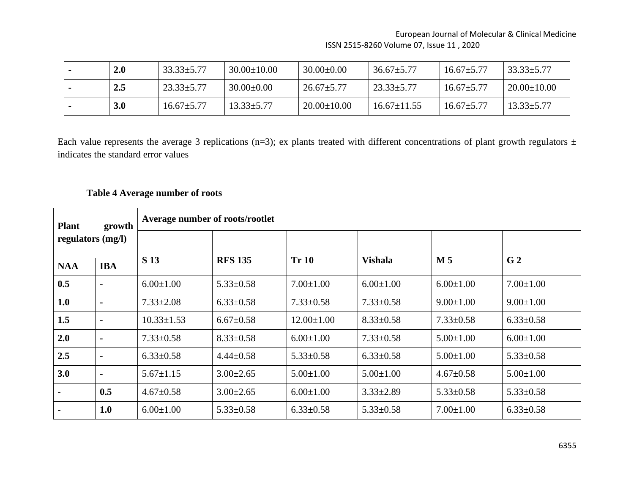| 2.0 | $33.33 \pm 5.77$ | $30.00 \pm 10.00$ | $30.00 \pm 0.00$  | $36.67 \pm 5.77$ | $16.67 \pm 5.77$ | $33.33 \pm 5.77$  |
|-----|------------------|-------------------|-------------------|------------------|------------------|-------------------|
| 2.5 | $23.33 \pm 5.77$ | $30.00 \pm 0.00$  | $26.67 \pm 5.77$  | $23.33 \pm 5.77$ | $16.67 \pm 5.77$ | 20.00 $\pm$ 10.00 |
| 3.0 | $16.67 \pm 5.77$ | $13.33 \pm 5.77$  | $20.00 \pm 10.00$ | $16.67 + 11.55$  | $16.67 + 5.77$   | $13.33 \pm 5.77$  |

Each value represents the average 3 replications (n=3); ex plants treated with different concentrations of plant growth regulators  $\pm$ indicates the standard error values

# **Table 4 Average number of roots**

| <b>Plant</b>      | growth         | Average number of roots/rootlet |                 |                  |                 |                 |                 |  |  |  |
|-------------------|----------------|---------------------------------|-----------------|------------------|-----------------|-----------------|-----------------|--|--|--|
| regulators (mg/l) |                |                                 |                 |                  |                 |                 |                 |  |  |  |
| <b>NAA</b>        | <b>IBA</b>     | <b>S</b> 13                     | <b>RFS 135</b>  | <b>Tr 10</b>     | <b>Vishala</b>  | M <sub>5</sub>  | G <sub>2</sub>  |  |  |  |
| 0.5               | $\blacksquare$ | $6.00 \pm 1.00$                 | $5.33 \pm 0.58$ | $7.00 \pm 1.00$  | $6.00 \pm 1.00$ | $6.00 \pm 1.00$ | $7.00 \pm 1.00$ |  |  |  |
| 1.0               | $\blacksquare$ | $7.33 \pm 2.08$                 | $6.33 \pm 0.58$ | $7.33 \pm 0.58$  | $7.33 \pm 0.58$ | $9.00 \pm 1.00$ | $9.00 \pm 1.00$ |  |  |  |
| 1.5               | $\blacksquare$ | $10.33 \pm 1.53$                | $6.67 \pm 0.58$ | $12.00 \pm 1.00$ | $8.33 \pm 0.58$ | $7.33 \pm 0.58$ | $6.33 \pm 0.58$ |  |  |  |
| 2.0               | $\blacksquare$ | $7.33 \pm 0.58$                 | $8.33 \pm 0.58$ | $6.00 \pm 1.00$  | $7.33 \pm 0.58$ | $5.00 \pm 1.00$ | $6.00 \pm 1.00$ |  |  |  |
| 2.5               | $\blacksquare$ | $6.33 \pm 0.58$                 | $4.44 \pm 0.58$ | $5.33 \pm 0.58$  | $6.33 \pm 0.58$ | $5.00 \pm 1.00$ | $5.33 \pm 0.58$ |  |  |  |
| 3.0               | $\blacksquare$ | $5.67 \pm 1.15$                 | $3.00 \pm 2.65$ | $5.00 \pm 1.00$  | $5.00 \pm 1.00$ | $4.67 \pm 0.58$ | $5.00 \pm 1.00$ |  |  |  |
|                   | 0.5            | $4.67 \pm 0.58$                 | $3.00 \pm 2.65$ | $6.00 \pm 1.00$  | $3.33 \pm 2.89$ | $5.33 \pm 0.58$ | $5.33 \pm 0.58$ |  |  |  |
|                   | 1.0            | $6.00 \pm 1.00$                 | $5.33 \pm 0.58$ | $6.33 \pm 0.58$  | $5.33 \pm 0.58$ | $7.00 \pm 1.00$ | $6.33 \pm 0.58$ |  |  |  |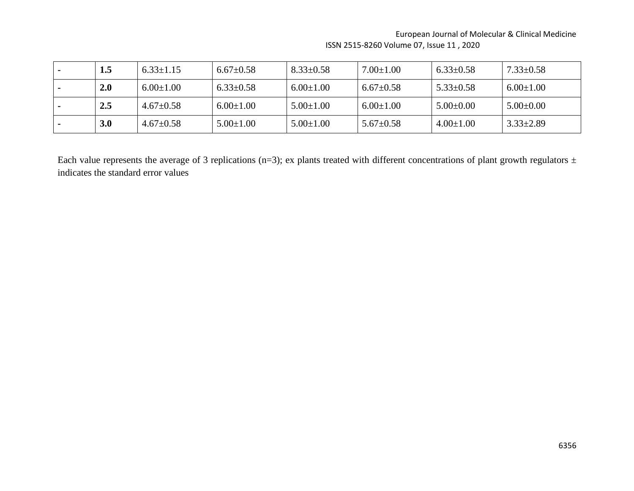| $1.5\,$ | $6.33 \pm 1.15$ | $6.67 \pm 0.58$ | $8.33 \pm 0.58$ | $7.00{\pm}1.00$ | $6.33 \pm 0.58$ | $7.33 \pm 0.58$ |
|---------|-----------------|-----------------|-----------------|-----------------|-----------------|-----------------|
| 2.0     | $6.00 \pm 1.00$ | $6.33 \pm 0.58$ | $6.00 \pm 1.00$ | $6.67 \pm 0.58$ | $5.33 \pm 0.58$ | $6.00 \pm 1.00$ |
| 2.5     | $4.67 \pm 0.58$ | $6.00 \pm 1.00$ | $5.00 \pm 1.00$ | $6.00 \pm 1.00$ | $5.00\pm0.00$   | $5.00 \pm 0.00$ |
| 3.0     | $4.67 \pm 0.58$ | $5.00 \pm 1.00$ | $5.00 \pm 1.00$ | $5.67 \pm 0.58$ | $4.00 \pm 1.00$ | $3.33 \pm 2.89$ |

Each value represents the average of 3 replications (n=3); ex plants treated with different concentrations of plant growth regulators  $\pm$ indicates the standard error values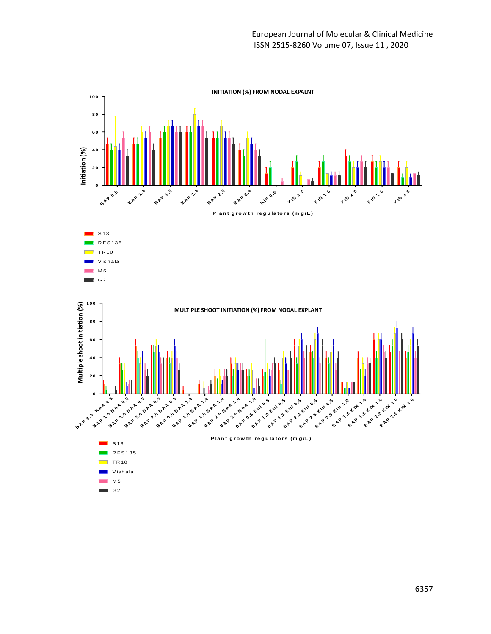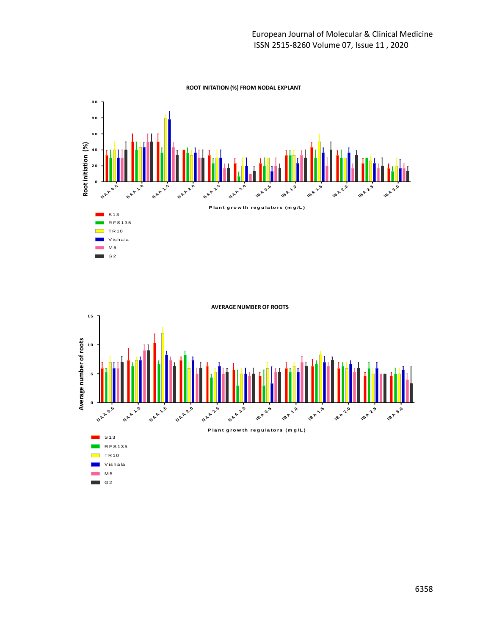



G2

٦

6358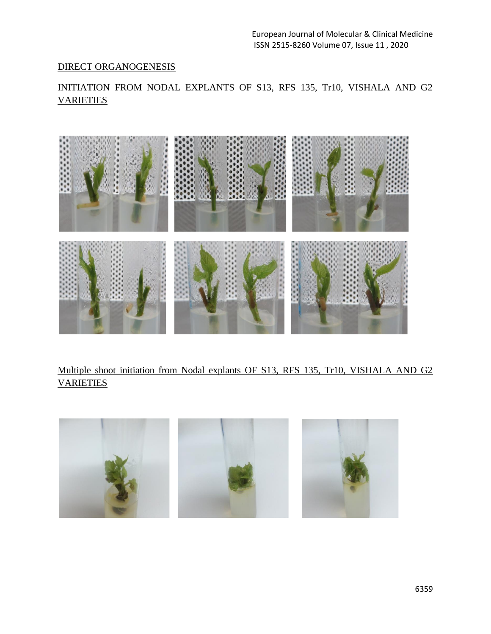# DIRECT ORGANOGENESIS

# INITIATION FROM NODAL EXPLANTS OF S13, RFS 135, Tr10, VISHALA AND G2 **VARIETIES**



Multiple shoot initiation from Nodal explants OF S13, RFS 135, Tr10, VISHALA AND G2 VARIETIES